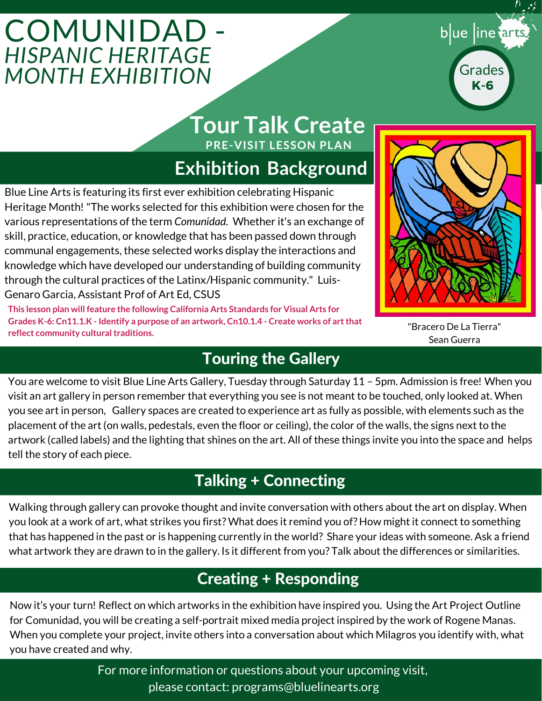# **COMUNIDAD** *HISPANIC HERITAGE MONTH EXHIBITION*



## **PRE-VISIT LESSON PLAN Tour Talk Create**

# **Exhibition Background**

Blue Line Arts is featuring its first ever exhibition celebrating Hispanic Heritage Month! "The works selected for this exhibition were chosen for the various representations of the term *Comunidad.* Whether it's an exchange of skill, practice, education, or knowledge that has been passed down through communal engagements, these selected works display the interactions and knowledge which have developed our understanding of building community through the cultural practices of the Latinx/Hispanic community." Luis-Genaro Garcia, Assistant Prof of Art Ed, CSUS

**This lesson plan will feature the following California Arts Standards for Visual Arts for Grades K-6: Cn11.1.K - Identify a purpose of an artwork, Cn10.1.4 - Create works of art that reflect community cultural traditions.**



"Bracero De La Tierra" Sean Guerra

## Touring the Gallery

You are welcome to visit Blue Line Arts Gallery, Tuesday through Saturday 11 – 5pm. Admission is free! When you visit an art gallery in person remember that everything you see is not meant to be touched, only looked at. When you see art in person, Gallery spaces are created to experience art as fully as possible, with elements such as the placement of the art (on walls, pedestals, even the floor or ceiling), the color of the walls, the signs next to the artwork (called labels) and the lighting that shines on the art. All of these things invite you into the space and helps tell the story of each piece.

## Talking + Connecting

Walking through gallery can provoke thought and invite conversation with others about the art on display. When you look at a work of art, what strikes you first? What does it remind you of? How might it connect to something that has happened in the past or is happening currently in the world? Share your ideas with someone. Ask a friend what artwork they are drawn to in the gallery. Is it different from you? Talk about the differences or similarities.

## Creating + Responding

Now it's your turn! Reflect on which artworks in the exhibition have inspired you. Using the Art Project Outline for Comunidad, you will be creating a self-portrait mixed media project inspired by the work of Rogene Manas. When you complete your project, invite others into a conversation about which Milagros you identify with, what you have created and why.

> For more information or questions about your upcoming visit, please contact: programs@bluelinearts.org